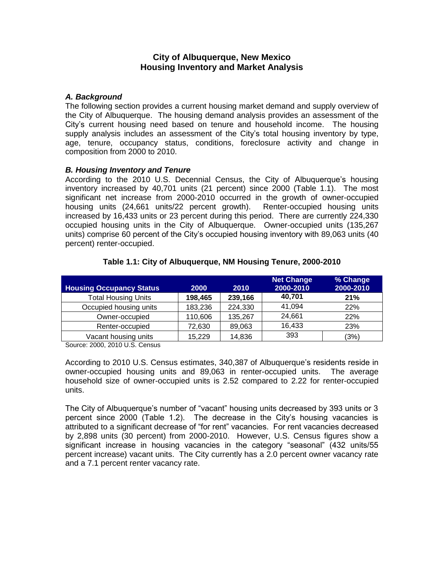# **City of Albuquerque, New Mexico Housing Inventory and Market Analysis**

## *A. Background*

The following section provides a current housing market demand and supply overview of the City of Albuquerque. The housing demand analysis provides an assessment of the City's current housing need based on tenure and household income. The housing supply analysis includes an assessment of the City's total housing inventory by type, age, tenure, occupancy status, conditions, foreclosure activity and change in composition from 2000 to 2010.

## *B. Housing Inventory and Tenure*

According to the 2010 U.S. Decennial Census, the City of Albuquerque's housing inventory increased by 40,701 units (21 percent) since 2000 (Table 1.1). The most significant net increase from 2000-2010 occurred in the growth of owner-occupied housing units (24,661 units/22 percent growth). Renter-occupied housing units increased by 16,433 units or 23 percent during this period. There are currently 224,330 occupied housing units in the City of Albuquerque. Owner-occupied units (135,267 units) comprise 60 percent of the City's occupied housing inventory with 89,063 units (40 percent) renter-occupied.

|                                 |         |         | <b>Net Change</b> | % Change  |
|---------------------------------|---------|---------|-------------------|-----------|
| <b>Housing Occupancy Status</b> | 2000    | 2010    | 2000-2010         | 2000-2010 |
| <b>Total Housing Units</b>      | 198,465 | 239,166 | 40,701            | 21%       |
| Occupied housing units          | 183,236 | 224,330 | 41,094            | 22%       |
| Owner-occupied                  | 110,606 | 135,267 | 24,661            | 22%       |
| Renter-occupied                 | 72,630  | 89,063  | 16,433            | 23%       |
| Vacant housing units            | 15,229  | 14,836  | 393               | (3%)      |

## **Table 1.1: City of Albuquerque, NM Housing Tenure, 2000-2010**

Source: 2000, 2010 U.S. Census

According to 2010 U.S. Census estimates, 340,387 of Albuquerque's residents reside in owner-occupied housing units and 89,063 in renter-occupied units. The average household size of owner-occupied units is 2.52 compared to 2.22 for renter-occupied units.

The City of Albuquerque's number of "vacant" housing units decreased by 393 units or 3 percent since 2000 (Table 1.2). The decrease in the City's housing vacancies is attributed to a significant decrease of "for rent" vacancies. For rent vacancies decreased by 2,898 units (30 percent) from 2000-2010. However, U.S. Census figures show a significant increase in housing vacancies in the category "seasonal" (432 units/55 percent increase) vacant units. The City currently has a 2.0 percent owner vacancy rate and a 7.1 percent renter vacancy rate.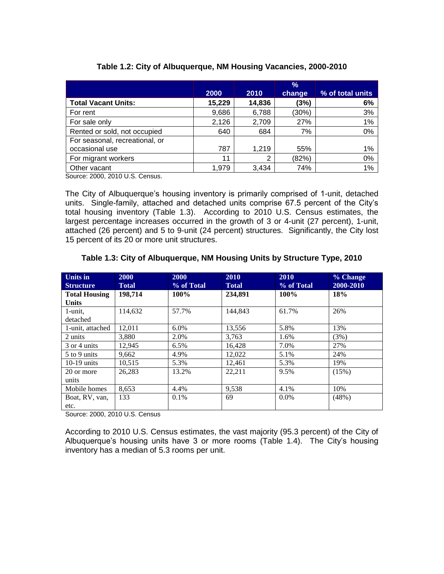|                                                  |        |        | $\frac{9}{6}$ |                  |
|--------------------------------------------------|--------|--------|---------------|------------------|
|                                                  | 2000   | 2010   | change        | % of total units |
| <b>Total Vacant Units:</b>                       | 15,229 | 14,836 | (3%)          | 6%               |
| For rent                                         | 9,686  | 6,788  | (30%)         | 3%               |
| For sale only                                    | 2,126  | 2,709  | 27%           | 1%               |
| Rented or sold, not occupied                     | 640    | 684    | 7%            | 0%               |
| For seasonal, recreational, or                   |        |        |               |                  |
| occasional use                                   | 787    | 1.219  | 55%           | 1%               |
| For migrant workers                              | 11     | 2      | (82%)         | 0%               |
| Other vacant<br>$\begin{array}{c} \n\end{array}$ | 1,979  | 3,434  | 74%           | 1%               |

## **Table 1.2: City of Albuquerque, NM Housing Vacancies, 2000-2010**

Source: 2000, 2010 U.S. Census.

The City of Albuquerque's housing inventory is primarily comprised of 1-unit, detached units. Single-family, attached and detached units comprise 67.5 percent of the City's total housing inventory (Table 1.3). According to 2010 U.S. Census estimates, the largest percentage increases occurred in the growth of 3 or 4-unit (27 percent), 1-unit, attached (26 percent) and 5 to 9-unit (24 percent) structures. Significantly, the City lost 15 percent of its 20 or more unit structures.

| <b>Units in</b><br><b>Structure</b>  | 2000<br><b>Total</b> | 2000<br>% of Total | 2010<br><b>Total</b> | 2010<br>% of Total | % Change<br>2000-2010 |
|--------------------------------------|----------------------|--------------------|----------------------|--------------------|-----------------------|
| <b>Total Housing</b><br><b>Units</b> | 198,714              | 100%               | 234,891              | $100\%$            | 18%                   |
| 1-unit,<br>detached                  | 114.632              | 57.7%              | 144,843              | 61.7%              | 26%                   |
| 1-unit, attached                     | 12.011               | $6.0\%$            | 13.556               | 5.8%               | 13%                   |
| 2 units                              | 3,880                | 2.0%               | 3,763                | 1.6%               | (3%)                  |
| 3 or 4 units                         | 12.945               | 6.5%               | 16.428               | 7.0%               | 27%                   |

5 to 9 units 9,662 4.9% 12,022 5.1% 24% 10-19 units 10,515 5.3% 12,461 5.3% 19%

Mobile homes 8,653 4.4% 9,538 4.1% 10%

#### **Table 1.3: City of Albuquerque, NM Housing Units by Structure Type, 2010**

Source: 2000, 2010 U.S. Census

20 or more units

etc.

Boat, RV, van,

According to 2010 U.S. Census estimates, the vast majority (95.3 percent) of the City of Albuquerque's housing units have 3 or more rooms (Table 1.4). The City's housing inventory has a median of 5.3 rooms per unit.

26,283 13.2% 22,211 9.5% (15%)

133 0.1% 69 0.0% (48%)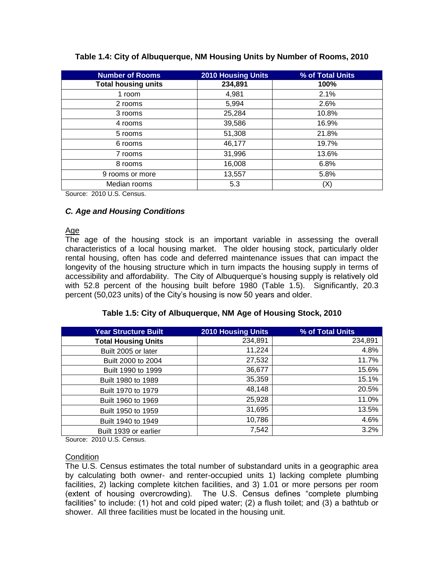| <b>Number of Rooms</b>     | <b>2010 Housing Units</b> | % of Total Units |
|----------------------------|---------------------------|------------------|
| <b>Total housing units</b> | 234,891                   | 100%             |
| 1 room                     | 4,981                     | 2.1%             |
| 2 rooms                    | 5,994                     | 2.6%             |
| 3 rooms                    | 25,284                    | 10.8%            |
| 4 rooms                    | 39,586                    | 16.9%            |
| 5 rooms                    | 51,308                    | 21.8%            |
| 6 rooms                    | 46,177                    | 19.7%            |
| 7 rooms                    | 31,996                    | 13.6%            |
| 8 rooms                    | 16,008                    | 6.8%             |
| 9 rooms or more            | 13,557                    | 5.8%             |
| Median rooms               | 5.3                       | (X)              |

## **Table 1.4: City of Albuquerque, NM Housing Units by Number of Rooms, 2010**

Source: 2010 U.S. Census.

# *C. Age and Housing Conditions*

#### Age

The age of the housing stock is an important variable in assessing the overall characteristics of a local housing market. The older housing stock, particularly older rental housing, often has code and deferred maintenance issues that can impact the longevity of the housing structure which in turn impacts the housing supply in terms of accessibility and affordability. The City of Albuquerque's housing supply is relatively old with 52.8 percent of the housing built before 1980 (Table 1.5). Significantly, 20.3 percent (50,023 units) of the City's housing is now 50 years and older.

#### **Table 1.5: City of Albuquerque, NM Age of Housing Stock, 2010**

| <b>Year Structure Built</b> | <b>2010 Housing Units</b> | % of Total Units |
|-----------------------------|---------------------------|------------------|
| <b>Total Housing Units</b>  | 234,891                   | 234,891          |
| Built 2005 or later         | 11,224                    | 4.8%             |
| Built 2000 to 2004          | 27,532                    | 11.7%            |
| Built 1990 to 1999          | 36,677                    | 15.6%            |
| Built 1980 to 1989          | 35,359                    | 15.1%            |
| Built 1970 to 1979          | 48,148                    | 20.5%            |
| Built 1960 to 1969          | 25,928                    | 11.0%            |
| Built 1950 to 1959          | 31,695                    | 13.5%            |
| Built 1940 to 1949          | 10,786                    | 4.6%             |
| Built 1939 or earlier       | 7,542                     | 3.2%             |

Source: 2010 U.S. Census.

#### **Condition**

The U.S. Census estimates the total number of substandard units in a geographic area by calculating both owner- and renter-occupied units 1) lacking complete plumbing facilities, 2) lacking complete kitchen facilities, and 3) 1.01 or more persons per room (extent of housing overcrowding). The U.S. Census defines "complete plumbing facilities" to include: (1) hot and cold piped water; (2) a flush toilet; and (3) a bathtub or shower. All three facilities must be located in the housing unit.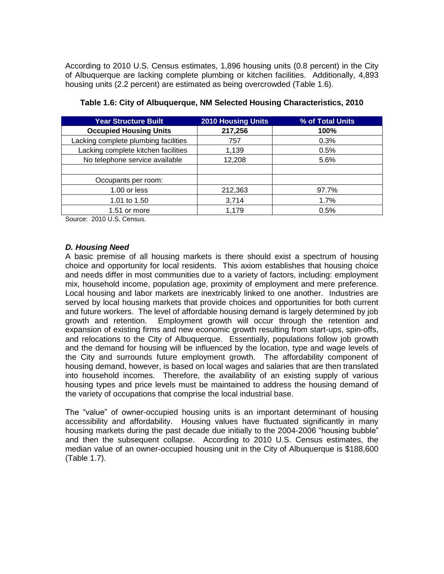According to 2010 U.S. Census estimates, 1,896 housing units (0.8 percent) in the City of Albuquerque are lacking complete plumbing or kitchen facilities. Additionally, 4,893 housing units (2.2 percent) are estimated as being overcrowded (Table 1.6).

| <b>Year Structure Built</b>          | <b>2010 Housing Units</b> | % of Total Units |
|--------------------------------------|---------------------------|------------------|
| <b>Occupied Housing Units</b>        | 217,256                   | 100%             |
| Lacking complete plumbing facilities | 757                       | 0.3%             |
| Lacking complete kitchen facilities  | 1,139                     | 0.5%             |
| No telephone service available       | 12,208                    | 5.6%             |
|                                      |                           |                  |
| Occupants per room:                  |                           |                  |
| $1.00$ or less                       | 212,363                   | 97.7%            |
| 1.01 to 1.50                         | 3,714                     | 1.7%             |
| 1.51 or more                         | 1.179                     | 0.5%             |

|  | Table 1.6: City of Albuquerque, NM Selected Housing Characteristics, 2010 |  |
|--|---------------------------------------------------------------------------|--|
|  |                                                                           |  |

Source: 2010 U.S. Census.

#### *D. Housing Need*

A basic premise of all housing markets is there should exist a spectrum of housing choice and opportunity for local residents. This axiom establishes that housing choice and needs differ in most communities due to a variety of factors, including: employment mix, household income, population age, proximity of employment and mere preference. Local housing and labor markets are inextricably linked to one another. Industries are served by local housing markets that provide choices and opportunities for both current and future workers. The level of affordable housing demand is largely determined by job growth and retention. Employment growth will occur through the retention and expansion of existing firms and new economic growth resulting from start-ups, spin-offs, and relocations to the City of Albuquerque. Essentially, populations follow job growth and the demand for housing will be influenced by the location, type and wage levels of the City and surrounds future employment growth. The affordability component of housing demand, however, is based on local wages and salaries that are then translated into household incomes. Therefore, the availability of an existing supply of various housing types and price levels must be maintained to address the housing demand of the variety of occupations that comprise the local industrial base.

The "value" of owner-occupied housing units is an important determinant of housing accessibility and affordability. Housing values have fluctuated significantly in many housing markets during the past decade due initially to the 2004-2006 "housing bubble" and then the subsequent collapse. According to 2010 U.S. Census estimates, the median value of an owner-occupied housing unit in the City of Albuquerque is \$188,600 (Table 1.7).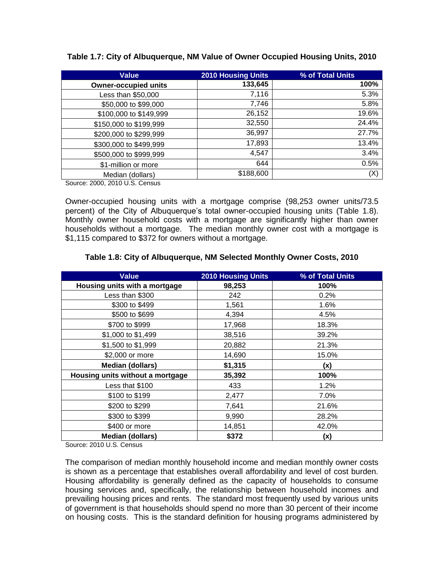| <b>Value</b>                | <b>2010 Housing Units</b> | % of Total Units |
|-----------------------------|---------------------------|------------------|
| <b>Owner-occupied units</b> | 133,645                   | 100%             |
| Less than \$50,000          | 7,116                     | 5.3%             |
| \$50,000 to \$99,000        | 7,746                     | 5.8%             |
| \$100,000 to \$149,999      | 26,152                    | 19.6%            |
| \$150,000 to \$199,999      | 32,550                    | 24.4%            |
| \$200,000 to \$299,999      | 36,997                    | 27.7%            |
| \$300,000 to \$499,999      | 17,893                    | 13.4%            |
| \$500,000 to \$999,999      | 4,547                     | 3.4%             |
| \$1-million or more         | 644                       | 0.5%             |
| Median (dollars)            | \$188,600                 | (X)              |

**Table 1.7: City of Albuquerque, NM Value of Owner Occupied Housing Units, 2010**

Source: 2000, 2010 U.S. Census

Owner-occupied housing units with a mortgage comprise (98,253 owner units/73.5 percent) of the City of Albuquerque's total owner-occupied housing units (Table 1.8). Monthly owner household costs with a mortgage are significantly higher than owner households without a mortgage. The median monthly owner cost with a mortgage is \$1,115 compared to \$372 for owners without a mortgage.

|  | Table 1.8: City of Albuquerque, NM Selected Monthly Owner Costs, 2010 |  |
|--|-----------------------------------------------------------------------|--|
|  |                                                                       |  |

| <b>Value</b>                     | <b>2010 Housing Units</b> | % of Total Units |
|----------------------------------|---------------------------|------------------|
| Housing units with a mortgage    | 98,253                    | 100%             |
| Less than \$300                  | 242                       | 0.2%             |
| \$300 to \$499                   | 1,561                     | 1.6%             |
| \$500 to \$699                   | 4,394                     | 4.5%             |
| \$700 to \$999                   | 17,968                    | 18.3%            |
| \$1,000 to \$1,499               | 38,516                    | 39.2%            |
| \$1,500 to \$1,999               | 20,882                    | 21.3%            |
| \$2,000 or more                  | 14,690                    | 15.0%            |
| <b>Median (dollars)</b>          | \$1,315                   | (x)              |
| Housing units without a mortgage | 35,392                    | 100%             |
| Less that \$100                  | 433                       | 1.2%             |
| \$100 to \$199                   | 2,477                     | 7.0%             |
| \$200 to \$299                   | 7,641                     | 21.6%            |
| \$300 to \$399                   | 9,990                     | 28.2%            |
| \$400 or more                    | 14,851                    | 42.0%            |
| <b>Median (dollars)</b>          | \$372                     | (x)              |

Source: 2010 U.S. Census

The comparison of median monthly household income and median monthly owner costs is shown as a percentage that establishes overall affordability and level of cost burden. Housing affordability is generally defined as the capacity of households to consume housing services and, specifically, the relationship between household incomes and prevailing housing prices and rents. The standard most frequently used by various units of government is that households should spend no more than 30 percent of their income on housing costs. This is the standard definition for housing programs administered by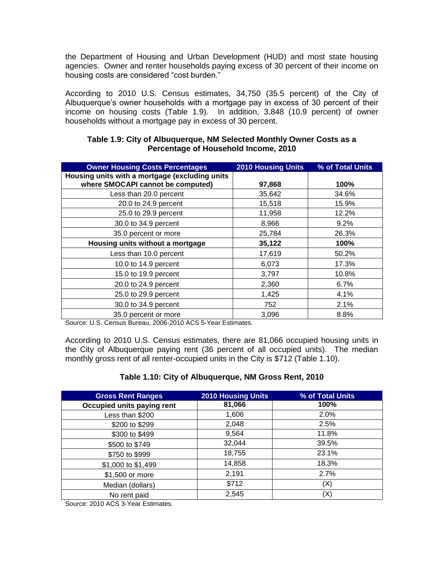the Department of Housing and Urban Development (HUD) and most state housing agencies. Owner and renter households paying excess of 30 percent of their income on housing costs are considered "cost burden."

According to 2010 U.S. Census estimates, 34,750 (35.5 percent) of the City of Albuquerque's owner households with a mortgage pay in excess of 30 percent of their income on housing costs (Table 1.9). In addition, 3,848 (10.9 percent) of owner households without a mortgage pay in excess of 30 percent.

| <b>Owner Housing Costs Percentages</b>         | <b>2010 Housing Units</b> | % of Total Units |
|------------------------------------------------|---------------------------|------------------|
| Housing units with a mortgage (excluding units |                           |                  |
| where SMOCAPI cannot be computed)              | 97,868                    | 100%             |
| Less than 20.0 percent                         | 35,642                    | 34.6%            |
| 20.0 to 24.9 percent                           | 15,518                    | 15.9%            |
| 25.0 to 29.9 percent                           | 11,958                    | 12.2%            |
| 30.0 to 34.9 percent                           | 8,966                     | 9.2%             |
| 35.0 percent or more                           | 25,784                    | 26.3%            |
| Housing units without a mortgage               | 35,122                    | 100%             |
| Less than 10.0 percent                         | 17,619                    | 50.2%            |
| 10.0 to 14.9 percent                           | 6,073                     | 17.3%            |
| 15.0 to 19.9 percent                           | 3,797                     | 10.8%            |
| 20.0 to 24.9 percent                           | 2,360                     | 6.7%             |
| 25.0 to 29.9 percent                           | 1,425                     | 4.1%             |
| 30.0 to 34.9 percent                           | 752                       | 2.1%             |
| 35.0 percent or more                           | 3,096                     | 8.8%             |

### **Table 1.9: City of Albuquerque, NM Selected Monthly Owner Costs as a Percentage of Household Income, 2010**

Source: U.S. Census Bureau, 2006-2010 ACS 5-Year Estimates.

According to 2010 U.S. Census estimates, there are 81,066 occupied housing units in the City of Albuquerque paying rent (36 percent of all occupied units). The median monthly gross rent of all renter-occupied units in the City is \$712 (Table 1.10).

# **Table 1.10: City of Albuquerque, NM Gross Rent, 2010**

| <b>Gross Rent Ranges</b>   | <b>2010 Housing Units</b> | % of Total Units |
|----------------------------|---------------------------|------------------|
| Occupied units paying rent | 81,066                    | 100%             |
| Less than \$200            | 1,606                     | 2.0%             |
| \$200 to \$299             | 2,048                     | 2.5%             |
| \$300 to \$499             | 9,564                     | 11.8%            |
| \$500 to \$749             | 32,044                    | 39.5%            |
| \$750 to \$999             | 18,755                    | 23.1%            |
| \$1,000 to \$1,499         | 14,858                    | 18.3%            |
| \$1,500 or more            | 2,191                     | 2.7%             |
| Median (dollars)           | \$712                     | (X)              |
| No rent paid               | 2,545                     | (X)              |

Source: 2010 ACS 3-Year Estimates.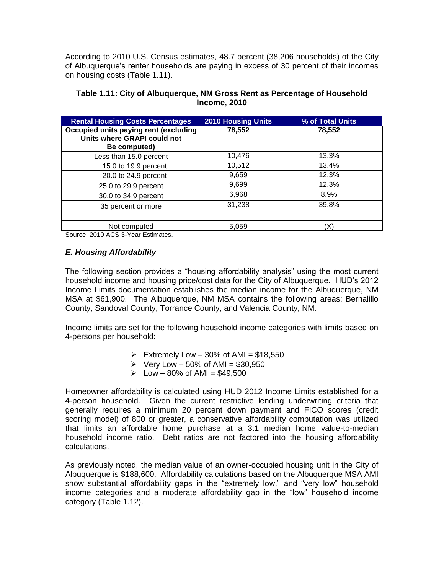According to 2010 U.S. Census estimates, 48.7 percent (38,206 households) of the City of Albuquerque's renter households are paying in excess of 30 percent of their incomes on housing costs (Table 1.11).

| <b>Rental Housing Costs Percentages</b>                                              | <b>2010 Housing Units</b> | % of Total Units |
|--------------------------------------------------------------------------------------|---------------------------|------------------|
| Occupied units paying rent (excluding<br>Units where GRAPI could not<br>Be computed) | 78,552                    | 78,552           |
| Less than 15.0 percent                                                               | 10,476                    | 13.3%            |
| 15.0 to 19.9 percent                                                                 | 10,512                    | 13.4%            |
| 20.0 to 24.9 percent                                                                 | 9,659                     | 12.3%            |
| 25.0 to 29.9 percent                                                                 | 9,699                     | 12.3%            |
| 30.0 to 34.9 percent                                                                 | 6,968                     | 8.9%             |
| 35 percent or more                                                                   | 31,238                    | 39.8%            |
|                                                                                      |                           |                  |
| Not computed                                                                         | 5,059                     | (X               |

## **Table 1.11: City of Albuquerque, NM Gross Rent as Percentage of Household Income, 2010**

Source: 2010 ACS 3-Year Estimates.

# *E. Housing Affordability*

The following section provides a "housing affordability analysis" using the most current household income and housing price/cost data for the City of Albuquerque. HUD's 2012 Income Limits documentation establishes the median income for the Albuquerque, NM MSA at \$61,900. The Albuquerque, NM MSA contains the following areas: Bernalillo County, Sandoval County, Torrance County, and Valencia County, NM.

Income limits are set for the following household income categories with limits based on 4-persons per household:

- $\triangleright$  Extremely Low 30% of AMI = \$18,550
- $\triangleright$  Very Low 50% of AMI = \$30,950
- $\geq$  Low 80% of AMI = \$49,500

Homeowner affordability is calculated using HUD 2012 Income Limits established for a 4-person household. Given the current restrictive lending underwriting criteria that generally requires a minimum 20 percent down payment and FICO scores (credit scoring model) of 800 or greater, a conservative affordability computation was utilized that limits an affordable home purchase at a 3:1 median home value-to-median household income ratio. Debt ratios are not factored into the housing affordability calculations.

As previously noted, the median value of an owner-occupied housing unit in the City of Albuquerque is \$188,600. Affordability calculations based on the Albuquerque MSA AMI show substantial affordability gaps in the "extremely low," and "very low" household income categories and a moderate affordability gap in the "low" household income category (Table 1.12).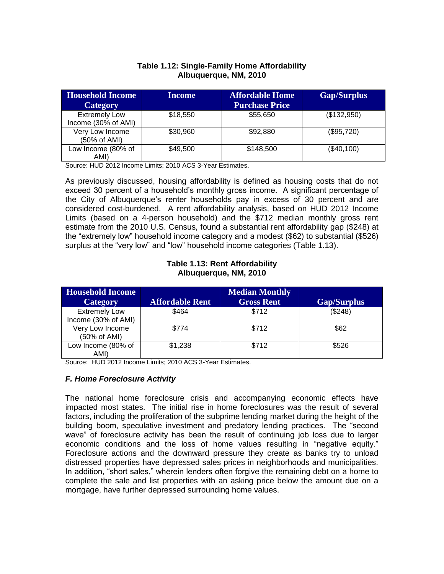# **Table 1.12: Single-Family Home Affordability Albuquerque, NM, 2010**

| <b>Household Income</b>                     | Income   | <b>Affordable Home</b> | <b>Gap/Surplus</b> |
|---------------------------------------------|----------|------------------------|--------------------|
| <b>Category</b>                             |          | <b>Purchase Price</b>  |                    |
| <b>Extremely Low</b><br>Income (30% of AMI) | \$18,550 | \$55,650               | (\$132,950)        |
| Very Low Income<br>(50% of AMI)             | \$30,960 | \$92,880               | (\$95,720)         |
| Low Income (80% of<br>AMI)                  | \$49,500 | \$148,500              | (\$40,100)         |

Source: HUD 2012 Income Limits; 2010 ACS 3-Year Estimates.

As previously discussed, housing affordability is defined as housing costs that do not exceed 30 percent of a household's monthly gross income. A significant percentage of the City of Albuquerque's renter households pay in excess of 30 percent and are considered cost-burdened. A rent affordability analysis, based on HUD 2012 Income Limits (based on a 4-person household) and the \$712 median monthly gross rent estimate from the 2010 U.S. Census, found a substantial rent affordability gap (\$248) at the "extremely low" household income category and a modest (\$62) to substantial (\$526) surplus at the "very low" and "low" household income categories (Table 1.13).

## **Table 1.13: Rent Affordability Albuquerque, NM, 2010**

| <b>Household Income</b> |                        | <b>Median Monthly</b> |                    |
|-------------------------|------------------------|-----------------------|--------------------|
| Category                | <b>Affordable Rent</b> | <b>Gross Rent</b>     | <b>Gap/Surplus</b> |
| <b>Extremely Low</b>    | \$464                  | \$712                 | (\$248)            |
| Income (30% of AMI)     |                        |                       |                    |
| Very Low Income         | \$774                  | \$712                 | \$62               |
| (50% of AMI)            |                        |                       |                    |
| Low Income (80% of      | \$1,238                | \$712                 | \$526              |
| AMI)                    |                        |                       |                    |

Source: HUD 2012 Income Limits; 2010 ACS 3-Year Estimates.

# *F. Home Foreclosure Activity*

The national home foreclosure crisis and accompanying economic effects have impacted most states. The initial rise in home foreclosures was the result of several factors, including the proliferation of the subprime lending market during the height of the building boom, speculative investment and predatory lending practices. The "second wave" of foreclosure activity has been the result of continuing job loss due to larger economic conditions and the loss of home values resulting in "negative equity." Foreclosure actions and the downward pressure they create as banks try to unload distressed properties have depressed sales prices in neighborhoods and municipalities. In addition, "short sales," wherein lenders often forgive the remaining debt on a home to complete the sale and list properties with an asking price below the amount due on a mortgage, have further depressed surrounding home values.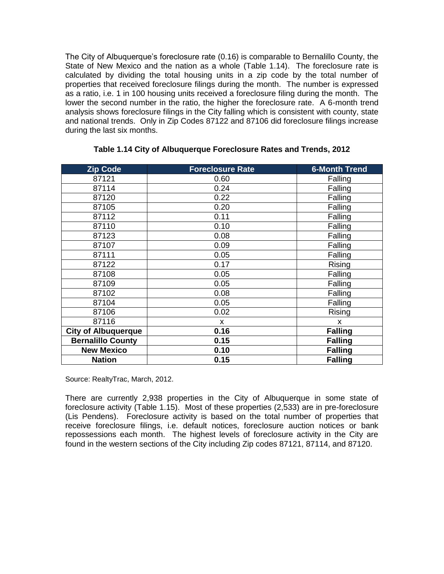The City of Albuquerque's foreclosure rate (0.16) is comparable to Bernalillo County, the State of New Mexico and the nation as a whole (Table 1.14). The foreclosure rate is calculated by dividing the total housing units in a zip code by the total number of properties that received foreclosure filings during the month. The number is expressed as a ratio, i.e. 1 in 100 housing units received a foreclosure filing during the month. The lower the second number in the ratio, the higher the foreclosure rate. A 6-month trend analysis shows foreclosure filings in the City falling which is consistent with county, state and national trends. Only in Zip Codes 87122 and 87106 did foreclosure filings increase during the last six months.

| <b>Zip Code</b>            | <b>Foreclosure Rate</b> | <b>6-Month Trend</b> |  |
|----------------------------|-------------------------|----------------------|--|
| 87121                      | 0.60                    | Falling              |  |
| 87114                      | 0.24                    | Falling              |  |
| 87120                      | 0.22                    | Falling              |  |
| 87105                      | 0.20                    | Falling              |  |
| 87112                      | 0.11                    | Falling              |  |
| 87110                      | 0.10                    | Falling              |  |
| 87123                      | 0.08                    | Falling              |  |
| 87107                      | 0.09                    | Falling              |  |
| 87111                      | 0.05                    | Falling              |  |
| 87122                      | 0.17                    | Rising               |  |
| 87108                      | 0.05                    | Falling              |  |
| 87109                      | 0.05                    | Falling              |  |
| 87102                      | 0.08                    | Falling              |  |
| 87104                      | 0.05                    | Falling              |  |
| 87106                      | 0.02                    | Rising               |  |
| 87116                      | X                       | X                    |  |
| <b>City of Albuquerque</b> | 0.16                    | <b>Falling</b>       |  |
| <b>Bernalillo County</b>   | 0.15                    | <b>Falling</b>       |  |
| <b>New Mexico</b>          | 0.10                    | <b>Falling</b>       |  |
| <b>Nation</b>              | 0.15                    | <b>Falling</b>       |  |

#### **Table 1.14 City of Albuquerque Foreclosure Rates and Trends, 2012**

Source: RealtyTrac, March, 2012.

There are currently 2,938 properties in the City of Albuquerque in some state of foreclosure activity (Table 1.15). Most of these properties (2,533) are in pre-foreclosure (Lis Pendens). Foreclosure activity is based on the total number of properties that receive foreclosure filings, i.e. default notices, foreclosure auction notices or bank repossessions each month. The highest levels of foreclosure activity in the City are found in the western sections of the City including Zip codes 87121, 87114, and 87120.